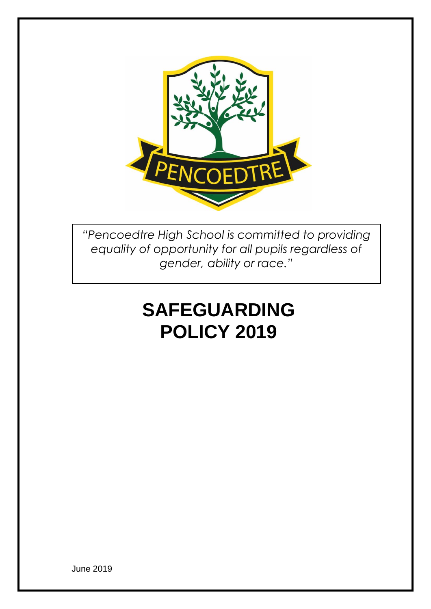

*"Pencoedtre High School is committed to providing equality of opportunity for all pupils regardless of gender, ability or race."*

# **SAFEGUARDING POLICY 2019**

June 2019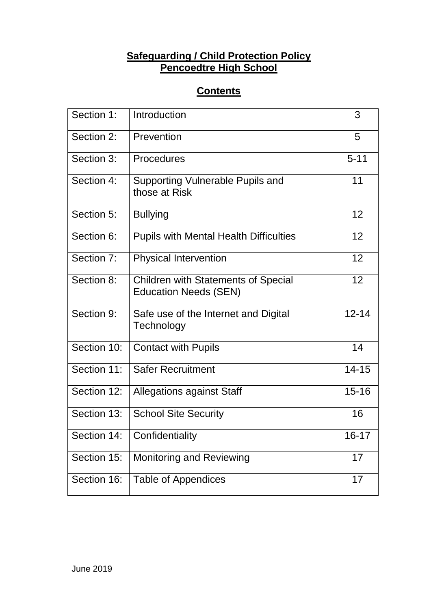# **Safeguarding / Child Protection Policy Pencoedtre High School**

# **Contents**

| Section 1:  | Introduction                                                               | 3         |
|-------------|----------------------------------------------------------------------------|-----------|
| Section 2:  | Prevention                                                                 | 5         |
| Section 3:  | Procedures                                                                 | $5 - 11$  |
| Section 4:  | Supporting Vulnerable Pupils and<br>those at Risk                          | 11        |
| Section 5:  | <b>Bullying</b>                                                            | 12        |
| Section 6:  | <b>Pupils with Mental Health Difficulties</b>                              | 12        |
| Section 7:  | <b>Physical Intervention</b>                                               | 12        |
| Section 8:  | <b>Children with Statements of Special</b><br><b>Education Needs (SEN)</b> | 12        |
| Section 9:  | Safe use of the Internet and Digital<br>Technology                         | $12 - 14$ |
| Section 10: | <b>Contact with Pupils</b>                                                 | 14        |
| Section 11: | <b>Safer Recruitment</b>                                                   | $14 - 15$ |
| Section 12: | <b>Allegations against Staff</b>                                           | $15 - 16$ |
| Section 13: | <b>School Site Security</b>                                                | 16        |
| Section 14: | Confidentiality                                                            | 16-17     |
| Section 15: | <b>Monitoring and Reviewing</b>                                            | 17        |
| Section 16: | <b>Table of Appendices</b>                                                 | 17        |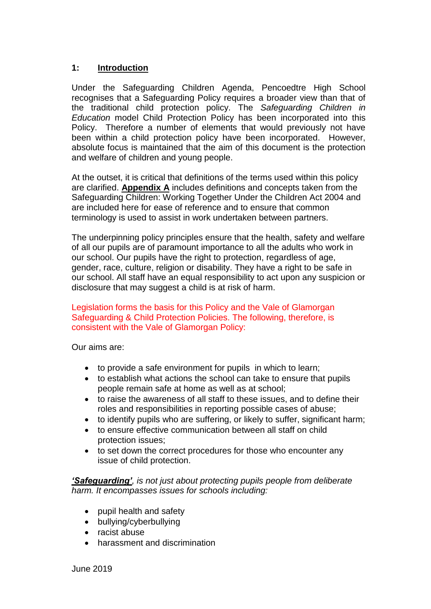#### **1: Introduction**

Under the Safeguarding Children Agenda, Pencoedtre High School recognises that a Safeguarding Policy requires a broader view than that of the traditional child protection policy. The *Safeguarding Children in Education* model Child Protection Policy has been incorporated into this Policy. Therefore a number of elements that would previously not have been within a child protection policy have been incorporated. However, absolute focus is maintained that the aim of this document is the protection and welfare of children and young people.

At the outset, it is critical that definitions of the terms used within this policy are clarified. **Appendix A** includes definitions and concepts taken from the Safeguarding Children: Working Together Under the Children Act 2004 and are included here for ease of reference and to ensure that common terminology is used to assist in work undertaken between partners.

The underpinning policy principles ensure that the health, safety and welfare of all our pupils are of paramount importance to all the adults who work in our school. Our pupils have the right to protection, regardless of age, gender, race, culture, religion or disability. They have a right to be safe in our school. All staff have an equal responsibility to act upon any suspicion or disclosure that may suggest a child is at risk of harm.

#### Legislation forms the basis for this Policy and the Vale of Glamorgan Safeguarding & Child Protection Policies. The following, therefore, is consistent with the Vale of Glamorgan Policy:

Our aims are:

- to provide a safe environment for pupils in which to learn;
- to establish what actions the school can take to ensure that pupils people remain safe at home as well as at school;
- to raise the awareness of all staff to these issues, and to define their roles and responsibilities in reporting possible cases of abuse;
- to identify pupils who are suffering, or likely to suffer, significant harm;
- to ensure effective communication between all staff on child protection issues;
- to set down the correct procedures for those who encounter any issue of child protection.

*'Safeguarding', is not just about protecting pupils people from deliberate harm. It encompasses issues for schools including:*

- pupil health and safety
- bullying/cyberbullying
- racist abuse
- harassment and discrimination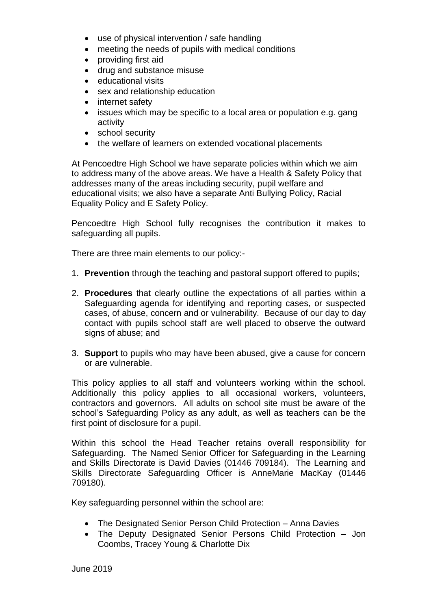- use of physical intervention / safe handling
- meeting the needs of pupils with medical conditions
- providing first aid
- drug and substance misuse
- educational visits
- sex and relationship education
- internet safety
- issues which may be specific to a local area or population e.g. gang activity
- school security
- the welfare of learners on extended vocational placements

At Pencoedtre High School we have separate policies within which we aim to address many of the above areas. We have a Health & Safety Policy that addresses many of the areas including security, pupil welfare and educational visits; we also have a separate Anti Bullying Policy, Racial Equality Policy and E Safety Policy.

Pencoedtre High School fully recognises the contribution it makes to safeguarding all pupils.

There are three main elements to our policy:-

- 1. **Prevention** through the teaching and pastoral support offered to pupils;
- 2. **Procedures** that clearly outline the expectations of all parties within a Safeguarding agenda for identifying and reporting cases, or suspected cases, of abuse, concern and or vulnerability. Because of our day to day contact with pupils school staff are well placed to observe the outward signs of abuse; and
- 3. **Support** to pupils who may have been abused, give a cause for concern or are vulnerable.

This policy applies to all staff and volunteers working within the school. Additionally this policy applies to all occasional workers, volunteers, contractors and governors. All adults on school site must be aware of the school's Safeguarding Policy as any adult, as well as teachers can be the first point of disclosure for a pupil.

Within this school the Head Teacher retains overall responsibility for Safeguarding. The Named Senior Officer for Safeguarding in the Learning and Skills Directorate is David Davies (01446 709184). The Learning and Skills Directorate Safeguarding Officer is AnneMarie MacKay (01446 709180).

Key safeguarding personnel within the school are:

- The Designated Senior Person Child Protection Anna Davies
- The Deputy Designated Senior Persons Child Protection Jon Coombs, Tracey Young & Charlotte Dix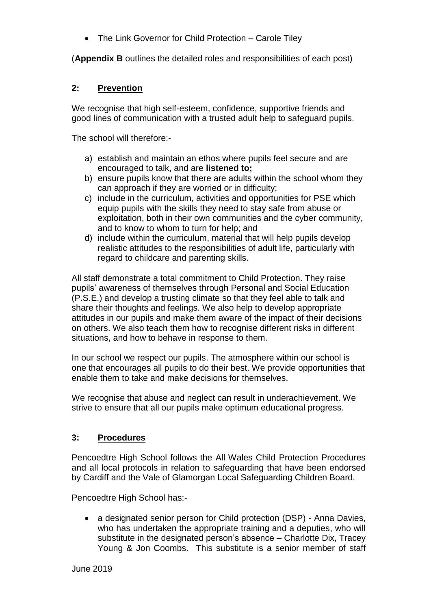• The Link Governor for Child Protection – Carole Tilev

(**Appendix B** outlines the detailed roles and responsibilities of each post)

#### **2: Prevention**

We recognise that high self-esteem, confidence, supportive friends and good lines of communication with a trusted adult help to safeguard pupils.

The school will therefore:-

- a) establish and maintain an ethos where pupils feel secure and are encouraged to talk, and are **listened to;**
- b) ensure pupils know that there are adults within the school whom they can approach if they are worried or in difficulty;
- c) include in the curriculum, activities and opportunities for PSE which equip pupils with the skills they need to stay safe from abuse or exploitation, both in their own communities and the cyber community, and to know to whom to turn for help; and
- d) include within the curriculum, material that will help pupils develop realistic attitudes to the responsibilities of adult life, particularly with regard to childcare and parenting skills.

All staff demonstrate a total commitment to Child Protection. They raise pupils' awareness of themselves through Personal and Social Education (P.S.E.) and develop a trusting climate so that they feel able to talk and share their thoughts and feelings. We also help to develop appropriate attitudes in our pupils and make them aware of the impact of their decisions on others. We also teach them how to recognise different risks in different situations, and how to behave in response to them.

In our school we respect our pupils. The atmosphere within our school is one that encourages all pupils to do their best. We provide opportunities that enable them to take and make decisions for themselves.

We recognise that abuse and neglect can result in underachievement. We strive to ensure that all our pupils make optimum educational progress.

#### **3: Procedures**

Pencoedtre High School follows the All Wales Child Protection Procedures and all local protocols in relation to safeguarding that have been endorsed by Cardiff and the Vale of Glamorgan Local Safeguarding Children Board.

Pencoedtre High School has:-

• a designated senior person for Child protection (DSP) - Anna Davies, who has undertaken the appropriate training and a deputies, who will substitute in the designated person's absence – Charlotte Dix, Tracey Young & Jon Coombs. This substitute is a senior member of staff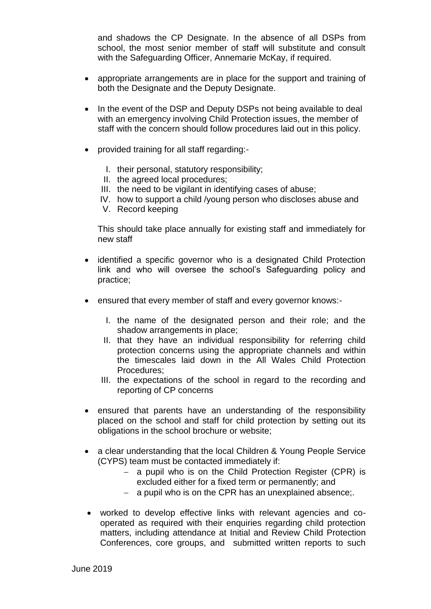and shadows the CP Designate. In the absence of all DSPs from school, the most senior member of staff will substitute and consult with the Safeguarding Officer, Annemarie McKay, if required.

- appropriate arrangements are in place for the support and training of both the Designate and the Deputy Designate.
- In the event of the DSP and Deputy DSPs not being available to deal with an emergency involving Child Protection issues, the member of staff with the concern should follow procedures laid out in this policy.
- provided training for all staff regarding:-
	- I. their personal, statutory responsibility;
	- II. the agreed local procedures;
	- III. the need to be vigilant in identifying cases of abuse;
	- IV. how to support a child /young person who discloses abuse and
	- V. Record keeping

This should take place annually for existing staff and immediately for new staff

- identified a specific governor who is a designated Child Protection link and who will oversee the school's Safeguarding policy and practice;
- ensured that every member of staff and every governor knows:-
	- I. the name of the designated person and their role; and the shadow arrangements in place;
	- II. that they have an individual responsibility for referring child protection concerns using the appropriate channels and within the timescales laid down in the All Wales Child Protection Procedures;
	- III. the expectations of the school in regard to the recording and reporting of CP concerns
- ensured that parents have an understanding of the responsibility placed on the school and staff for child protection by setting out its obligations in the school brochure or website;
- a clear understanding that the local Children & Young People Service (CYPS) team must be contacted immediately if:
	- − a pupil who is on the Child Protection Register (CPR) is excluded either for a fixed term or permanently; and
	- − a pupil who is on the CPR has an unexplained absence;.
- worked to develop effective links with relevant agencies and cooperated as required with their enquiries regarding child protection matters, including attendance at Initial and Review Child Protection Conferences, core groups, and submitted written reports to such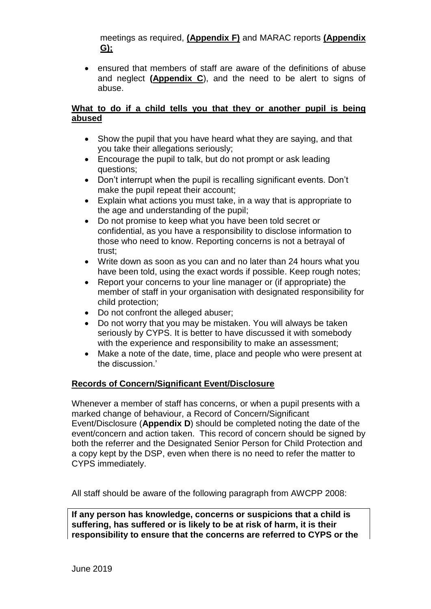meetings as required, **(Appendix F)** and MARAC reports **(Appendix G);**

• ensured that members of staff are aware of the definitions of abuse and neglect **(Appendix C**), and the need to be alert to signs of abuse.

#### **What to do if a child tells you that they or another pupil is being abused**

- Show the pupil that you have heard what they are saying, and that you take their allegations seriously;
- Encourage the pupil to talk, but do not prompt or ask leading questions;
- Don't interrupt when the pupil is recalling significant events. Don't make the pupil repeat their account;
- Explain what actions you must take, in a way that is appropriate to the age and understanding of the pupil;
- Do not promise to keep what you have been told secret or confidential, as you have a responsibility to disclose information to those who need to know. Reporting concerns is not a betrayal of trust;
- Write down as soon as you can and no later than 24 hours what you have been told, using the exact words if possible. Keep rough notes;
- Report your concerns to your line manager or (if appropriate) the member of staff in your organisation with designated responsibility for child protection;
- Do not confront the alleged abuser;
- Do not worry that you may be mistaken. You will always be taken seriously by CYPS. It is better to have discussed it with somebody with the experience and responsibility to make an assessment;
- Make a note of the date, time, place and people who were present at the discussion.'

#### **Records of Concern/Significant Event/Disclosure**

Whenever a member of staff has concerns, or when a pupil presents with a marked change of behaviour, a Record of Concern/Significant Event/Disclosure (**Appendix D**) should be completed noting the date of the event/concern and action taken. This record of concern should be signed by both the referrer and the Designated Senior Person for Child Protection and a copy kept by the DSP, even when there is no need to refer the matter to CYPS immediately.

All staff should be aware of the following paragraph from AWCPP 2008:

**If any person has knowledge, concerns or suspicions that a child is suffering, has suffered or is likely to be at risk of harm, it is their responsibility to ensure that the concerns are referred to CYPS or the**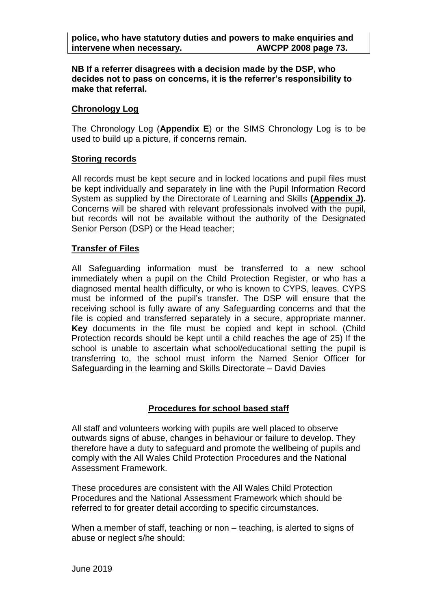**NB If a referrer disagrees with a decision made by the DSP, who decides not to pass on concerns, it is the referrer's responsibility to make that referral.**

#### **Chronology Log**

The Chronology Log (**Appendix E**) or the SIMS Chronology Log is to be used to build up a picture, if concerns remain.

#### **Storing records**

All records must be kept secure and in locked locations and pupil files must be kept individually and separately in line with the Pupil Information Record System as supplied by the Directorate of Learning and Skills **(Appendix J).** Concerns will be shared with relevant professionals involved with the pupil, but records will not be available without the authority of the Designated Senior Person (DSP) or the Head teacher;

#### **Transfer of Files**

All Safeguarding information must be transferred to a new school immediately when a pupil on the Child Protection Register, or who has a diagnosed mental health difficulty, or who is known to CYPS, leaves. CYPS must be informed of the pupil's transfer. The DSP will ensure that the receiving school is fully aware of any Safeguarding concerns and that the file is copied and transferred separately in a secure, appropriate manner. **Key** documents in the file must be copied and kept in school. (Child Protection records should be kept until a child reaches the age of 25) If the school is unable to ascertain what school/educational setting the pupil is transferring to, the school must inform the Named Senior Officer for Safeguarding in the learning and Skills Directorate – David Davies

#### **Procedures for school based staff**

All staff and volunteers working with pupils are well placed to observe outwards signs of abuse, changes in behaviour or failure to develop. They therefore have a duty to safeguard and promote the wellbeing of pupils and comply with the All Wales Child Protection Procedures and the National Assessment Framework.

These procedures are consistent with the All Wales Child Protection Procedures and the National Assessment Framework which should be referred to for greater detail according to specific circumstances.

When a member of staff, teaching or non – teaching, is alerted to signs of abuse or neglect s/he should: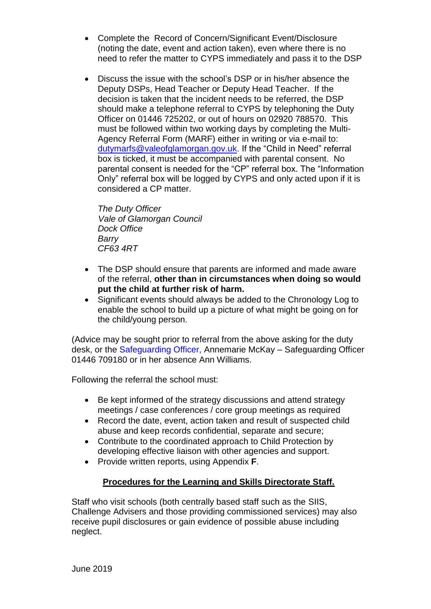- Complete the Record of Concern/Significant Event/Disclosure (noting the date, event and action taken), even where there is no need to refer the matter to CYPS immediately and pass it to the DSP
- Discuss the issue with the school's DSP or in his/her absence the Deputy DSPs, Head Teacher or Deputy Head Teacher. If the decision is taken that the incident needs to be referred, the DSP should make a telephone referral to CYPS by telephoning the Duty Officer on 01446 725202, or out of hours on 02920 788570. This must be followed within two working days by completing the Multi-Agency Referral Form (MARF) either in writing or via e-mail to: [dutymarfs@valeofglamorgan.gov.uk.](mailto:dutymarfs@valeofglamorgan.gov.uk) If the "Child in Need" referral box is ticked, it must be accompanied with parental consent. No parental consent is needed for the "CP" referral box. The "Information Only" referral box will be logged by CYPS and only acted upon if it is considered a CP matter.

*The Duty Officer Vale of Glamorgan Council Dock Office Barry CF63 4RT*

- The DSP should ensure that parents are informed and made aware of the referral, **other than in circumstances when doing so would put the child at further risk of harm.**
- Significant events should always be added to the Chronology Log to enable the school to build up a picture of what might be going on for the child/young person.

(Advice may be sought prior to referral from the above asking for the duty desk, or the Safeguarding Officer, Annemarie McKay – Safeguarding Officer 01446 709180 or in her absence Ann Williams.

Following the referral the school must:

- Be kept informed of the strategy discussions and attend strategy meetings / case conferences / core group meetings as required
- Record the date, event, action taken and result of suspected child abuse and keep records confidential, separate and secure;
- Contribute to the coordinated approach to Child Protection by developing effective liaison with other agencies and support.
- Provide written reports, using Appendix **F**.

#### **Procedures for the Learning and Skills Directorate Staff.**

Staff who visit schools (both centrally based staff such as the SIIS, Challenge Advisers and those providing commissioned services) may also receive pupil disclosures or gain evidence of possible abuse including neglect.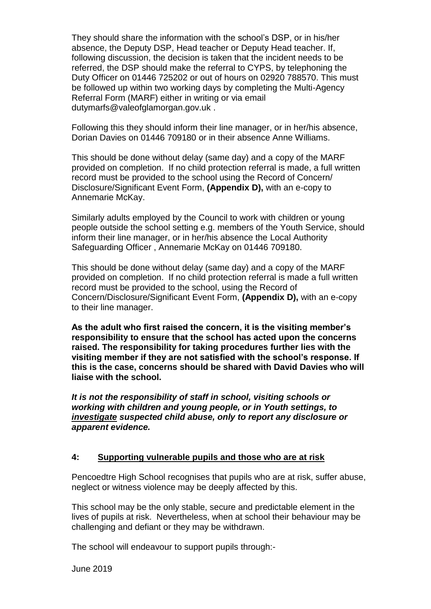They should share the information with the school's DSP, or in his/her absence, the Deputy DSP, Head teacher or Deputy Head teacher. If, following discussion, the decision is taken that the incident needs to be referred, the DSP should make the referral to CYPS, by telephoning the Duty Officer on 01446 725202 or out of hours on 02920 788570. This must be followed up within two working days by completing the Multi-Agency Referral Form (MARF) either in writing or via email dutymarfs@valeofglamorgan.gov.uk .

Following this they should inform their line manager, or in her/his absence, Dorian Davies on 01446 709180 or in their absence Anne Williams.

This should be done without delay (same day) and a copy of the MARF provided on completion. If no child protection referral is made, a full written record must be provided to the school using the Record of Concern/ Disclosure/Significant Event Form, **(Appendix D),** with an e-copy to Annemarie McKay.

Similarly adults employed by the Council to work with children or young people outside the school setting e.g. members of the Youth Service, should inform their line manager, or in her/his absence the Local Authority Safeguarding Officer , Annemarie McKay on 01446 709180.

This should be done without delay (same day) and a copy of the MARF provided on completion. If no child protection referral is made a full written record must be provided to the school, using the Record of Concern/Disclosure/Significant Event Form, **(Appendix D),** with an e-copy to their line manager.

**As the adult who first raised the concern, it is the visiting member's responsibility to ensure that the school has acted upon the concerns raised. The responsibility for taking procedures further lies with the visiting member if they are not satisfied with the school's response. If this is the case, concerns should be shared with David Davies who will liaise with the school.**

*It is not the responsibility of staff in school, visiting schools or working with children and young people, or in Youth settings, to investigate suspected child abuse, only to report any disclosure or apparent evidence.*

#### **4: Supporting vulnerable pupils and those who are at risk**

Pencoedtre High School recognises that pupils who are at risk, suffer abuse, neglect or witness violence may be deeply affected by this.

This school may be the only stable, secure and predictable element in the lives of pupils at risk. Nevertheless, when at school their behaviour may be challenging and defiant or they may be withdrawn.

The school will endeavour to support pupils through:-

June 2019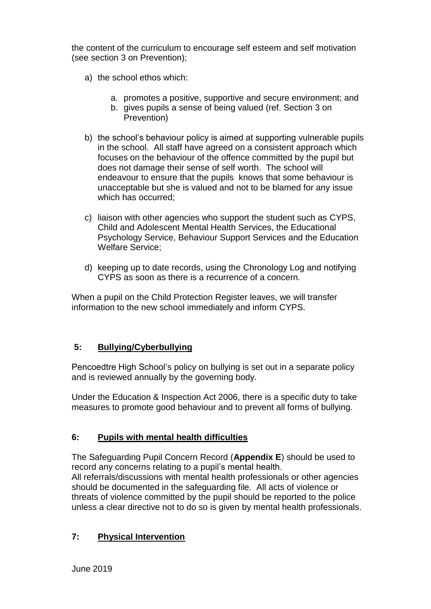the content of the curriculum to encourage self esteem and self motivation (see section 3 on Prevention);

- a) the school ethos which:
	- a. promotes a positive, supportive and secure environment; and
	- b. gives pupils a sense of being valued (ref. Section 3 on Prevention)
- b) the school's behaviour policy is aimed at supporting vulnerable pupils in the school. All staff have agreed on a consistent approach which focuses on the behaviour of the offence committed by the pupil but does not damage their sense of self worth. The school will endeavour to ensure that the pupils knows that some behaviour is unacceptable but she is valued and not to be blamed for any issue which has occurred:
- c) liaison with other agencies who support the student such as CYPS, Child and Adolescent Mental Health Services, the Educational Psychology Service, Behaviour Support Services and the Education Welfare Service;
- d) keeping up to date records, using the Chronology Log and notifying CYPS as soon as there is a recurrence of a concern.

When a pupil on the Child Protection Register leaves, we will transfer information to the new school immediately and inform CYPS.

#### **5: Bullying/Cyberbullying**

Pencoedtre High School's policy on bullying is set out in a separate policy and is reviewed annually by the governing body.

Under the Education & Inspection Act 2006, there is a specific duty to take measures to promote good behaviour and to prevent all forms of bullying.

#### **6: Pupils with mental health difficulties**

The Safeguarding Pupil Concern Record (**Appendix E**) should be used to record any concerns relating to a pupil's mental health. All referrals/discussions with mental health professionals or other agencies should be documented in the safeguarding file. All acts of violence or threats of violence committed by the pupil should be reported to the police unless a clear directive not to do so is given by mental health professionals.

#### **7: Physical Intervention**

June 2019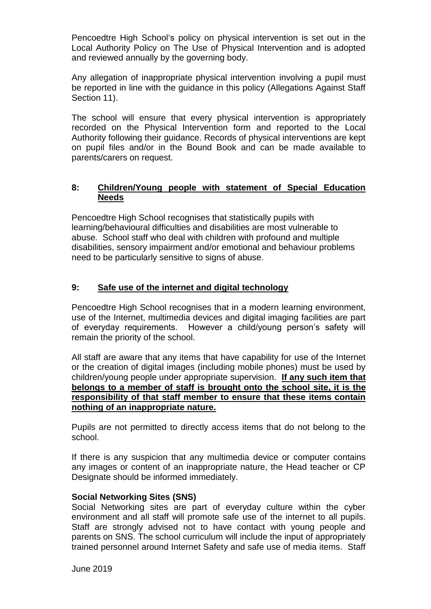Pencoedtre High School's policy on physical intervention is set out in the Local Authority Policy on The Use of Physical Intervention and is adopted and reviewed annually by the governing body.

Any allegation of inappropriate physical intervention involving a pupil must be reported in line with the guidance in this policy (Allegations Against Staff Section 11).

The school will ensure that every physical intervention is appropriately recorded on the Physical Intervention form and reported to the Local Authority following their guidance. Records of physical interventions are kept on pupil files and/or in the Bound Book and can be made available to parents/carers on request.

#### **8: Children/Young people with statement of Special Education Needs**

Pencoedtre High School recognises that statistically pupils with learning/behavioural difficulties and disabilities are most vulnerable to abuse. School staff who deal with children with profound and multiple disabilities, sensory impairment and/or emotional and behaviour problems need to be particularly sensitive to signs of abuse.

#### **9: Safe use of the internet and digital technology**

Pencoedtre High School recognises that in a modern learning environment, use of the Internet, multimedia devices and digital imaging facilities are part of everyday requirements. However a child/young person's safety will remain the priority of the school.

All staff are aware that any items that have capability for use of the Internet or the creation of digital images (including mobile phones) must be used by children/young people under appropriate supervision. **If any such item that belongs to a member of staff is brought onto the school site, it is the responsibility of that staff member to ensure that these items contain nothing of an inappropriate nature.**

Pupils are not permitted to directly access items that do not belong to the school.

If there is any suspicion that any multimedia device or computer contains any images or content of an inappropriate nature, the Head teacher or CP Designate should be informed immediately.

#### **Social Networking Sites (SNS)**

Social Networking sites are part of everyday culture within the cyber environment and all staff will promote safe use of the internet to all pupils. Staff are strongly advised not to have contact with young people and parents on SNS. The school curriculum will include the input of appropriately trained personnel around Internet Safety and safe use of media items. Staff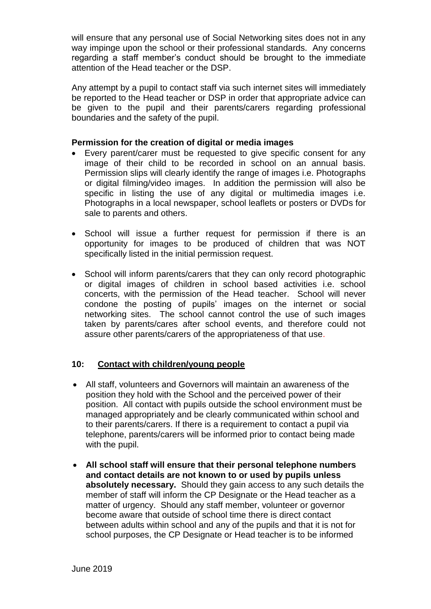will ensure that any personal use of Social Networking sites does not in any way impinge upon the school or their professional standards. Any concerns regarding a staff member's conduct should be brought to the immediate attention of the Head teacher or the DSP.

Any attempt by a pupil to contact staff via such internet sites will immediately be reported to the Head teacher or DSP in order that appropriate advice can be given to the pupil and their parents/carers regarding professional boundaries and the safety of the pupil.

#### **Permission for the creation of digital or media images**

- Every parent/carer must be requested to give specific consent for any image of their child to be recorded in school on an annual basis. Permission slips will clearly identify the range of images i.e. Photographs or digital filming/video images. In addition the permission will also be specific in listing the use of any digital or multimedia images i.e. Photographs in a local newspaper, school leaflets or posters or DVDs for sale to parents and others.
- School will issue a further request for permission if there is an opportunity for images to be produced of children that was NOT specifically listed in the initial permission request.
- School will inform parents/carers that they can only record photographic or digital images of children in school based activities i.e. school concerts, with the permission of the Head teacher. School will never condone the posting of pupils' images on the internet or social networking sites. The school cannot control the use of such images taken by parents/cares after school events, and therefore could not assure other parents/carers of the appropriateness of that use.

#### **10: Contact with children/young people**

- All staff, volunteers and Governors will maintain an awareness of the position they hold with the School and the perceived power of their position. All contact with pupils outside the school environment must be managed appropriately and be clearly communicated within school and to their parents/carers. If there is a requirement to contact a pupil via telephone, parents/carers will be informed prior to contact being made with the pupil.
- **All school staff will ensure that their personal telephone numbers and contact details are not known to or used by pupils unless absolutely necessary.** Should they gain access to any such details the member of staff will inform the CP Designate or the Head teacher as a matter of urgency. Should any staff member, volunteer or governor become aware that outside of school time there is direct contact between adults within school and any of the pupils and that it is not for school purposes, the CP Designate or Head teacher is to be informed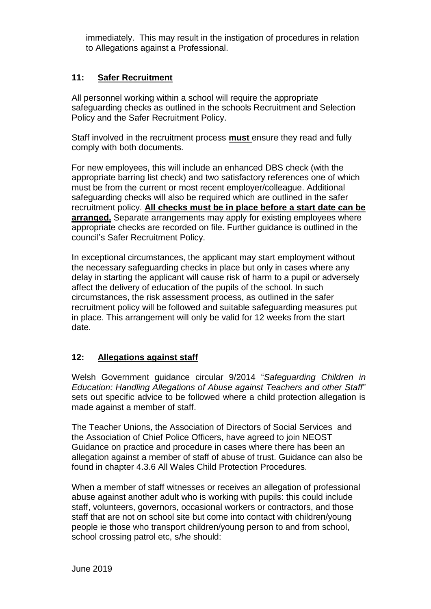immediately. This may result in the instigation of procedures in relation to Allegations against a Professional.

#### **11: Safer Recruitment**

All personnel working within a school will require the appropriate safeguarding checks as outlined in the schools Recruitment and Selection Policy and the Safer Recruitment Policy.

Staff involved in the recruitment process **must** ensure they read and fully comply with both documents.

For new employees, this will include an enhanced DBS check (with the appropriate barring list check) and two satisfactory references one of which must be from the current or most recent employer/colleague. Additional safeguarding checks will also be required which are outlined in the safer recruitment policy. **All checks must be in place before a start date can be arranged.** Separate arrangements may apply for existing employees where appropriate checks are recorded on file. Further guidance is outlined in the council's Safer Recruitment Policy.

In exceptional circumstances, the applicant may start employment without the necessary safeguarding checks in place but only in cases where any delay in starting the applicant will cause risk of harm to a pupil or adversely affect the delivery of education of the pupils of the school. In such circumstances, the risk assessment process, as outlined in the safer recruitment policy will be followed and suitable safeguarding measures put in place. This arrangement will only be valid for 12 weeks from the start date.

#### **12: Allegations against staff**

Welsh Government guidance circular 9/2014 "*Safeguarding Children in Education: Handling Allegations of Abuse against Teachers and other Staff*" sets out specific advice to be followed where a child protection allegation is made against a member of staff.

The Teacher Unions, the Association of Directors of Social Services and the Association of Chief Police Officers, have agreed to join NEOST Guidance on practice and procedure in cases where there has been an allegation against a member of staff of abuse of trust. Guidance can also be found in chapter 4.3.6 All Wales Child Protection Procedures.

When a member of staff witnesses or receives an allegation of professional abuse against another adult who is working with pupils: this could include staff, volunteers, governors, occasional workers or contractors, and those staff that are not on school site but come into contact with children/young people ie those who transport children/young person to and from school, school crossing patrol etc, s/he should: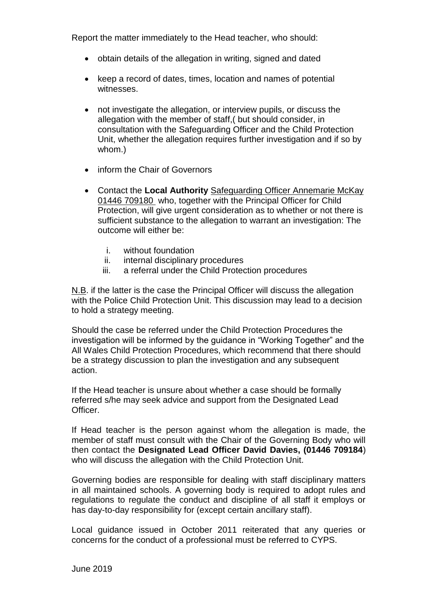Report the matter immediately to the Head teacher, who should:

- obtain details of the allegation in writing, signed and dated
- keep a record of dates, times, location and names of potential witnesses.
- not investigate the allegation, or interview pupils, or discuss the allegation with the member of staff,( but should consider, in consultation with the Safeguarding Officer and the Child Protection Unit, whether the allegation requires further investigation and if so by whom.)
- inform the Chair of Governors
- Contact the **Local Authority** Safeguarding Officer Annemarie McKay 01446 709180 who, together with the Principal Officer for Child Protection, will give urgent consideration as to whether or not there is sufficient substance to the allegation to warrant an investigation: The outcome will either be:
	- i. without foundation
	- ii. internal disciplinary procedures
	- iii. a referral under the Child Protection procedures

N.B. if the latter is the case the Principal Officer will discuss the allegation with the Police Child Protection Unit. This discussion may lead to a decision to hold a strategy meeting.

Should the case be referred under the Child Protection Procedures the investigation will be informed by the guidance in "Working Together" and the All Wales Child Protection Procedures, which recommend that there should be a strategy discussion to plan the investigation and any subsequent action.

If the Head teacher is unsure about whether a case should be formally referred s/he may seek advice and support from the Designated Lead Officer.

If Head teacher is the person against whom the allegation is made, the member of staff must consult with the Chair of the Governing Body who will then contact the **Designated Lead Officer David Davies, (01446 709184**) who will discuss the allegation with the Child Protection Unit.

Governing bodies are responsible for dealing with staff disciplinary matters in all maintained schools. A governing body is required to adopt rules and regulations to regulate the conduct and discipline of all staff it employs or has day-to-day responsibility for (except certain ancillary staff).

Local guidance issued in October 2011 reiterated that any queries or concerns for the conduct of a professional must be referred to CYPS.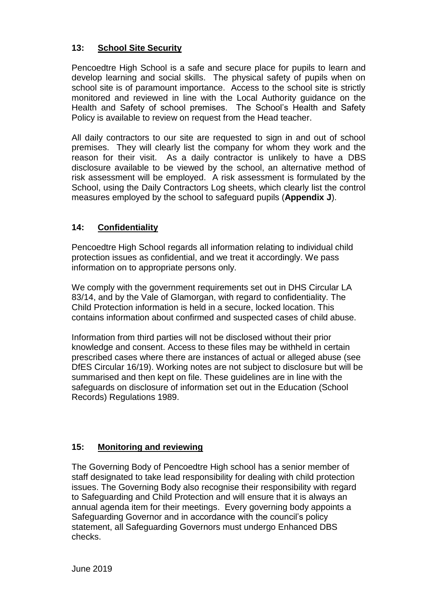#### **13: School Site Security**

Pencoedtre High School is a safe and secure place for pupils to learn and develop learning and social skills. The physical safety of pupils when on school site is of paramount importance. Access to the school site is strictly monitored and reviewed in line with the Local Authority guidance on the Health and Safety of school premises. The School's Health and Safety Policy is available to review on request from the Head teacher.

All daily contractors to our site are requested to sign in and out of school premises. They will clearly list the company for whom they work and the reason for their visit. As a daily contractor is unlikely to have a DBS disclosure available to be viewed by the school, an alternative method of risk assessment will be employed. A risk assessment is formulated by the School, using the Daily Contractors Log sheets, which clearly list the control measures employed by the school to safeguard pupils (**Appendix J**).

#### **14: Confidentiality**

Pencoedtre High School regards all information relating to individual child protection issues as confidential, and we treat it accordingly. We pass information on to appropriate persons only.

We comply with the government requirements set out in DHS Circular LA 83/14, and by the Vale of Glamorgan, with regard to confidentiality. The Child Protection information is held in a secure, locked location. This contains information about confirmed and suspected cases of child abuse.

Information from third parties will not be disclosed without their prior knowledge and consent. Access to these files may be withheld in certain prescribed cases where there are instances of actual or alleged abuse (see DfES Circular 16/19). Working notes are not subject to disclosure but will be summarised and then kept on file. These guidelines are in line with the safeguards on disclosure of information set out in the Education (School Records) Regulations 1989.

#### **15: Monitoring and reviewing**

The Governing Body of Pencoedtre High school has a senior member of staff designated to take lead responsibility for dealing with child protection issues. The Governing Body also recognise their responsibility with regard to Safeguarding and Child Protection and will ensure that it is always an annual agenda item for their meetings. Every governing body appoints a Safeguarding Governor and in accordance with the council's policy statement, all Safeguarding Governors must undergo Enhanced DBS checks.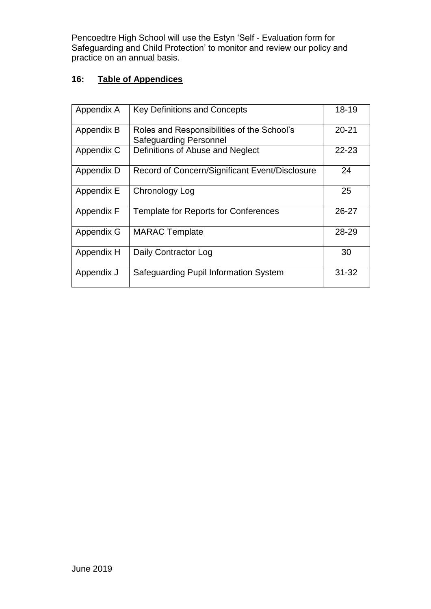Pencoedtre High School will use the Estyn 'Self - Evaluation form for Safeguarding and Child Protection' to monitor and review our policy and practice on an annual basis.

# **16: Table of Appendices**

| Appendix A | <b>Key Definitions and Concepts</b>                                         | 18-19     |
|------------|-----------------------------------------------------------------------------|-----------|
| Appendix B | Roles and Responsibilities of the School's<br><b>Safeguarding Personnel</b> | $20 - 21$ |
| Appendix C | Definitions of Abuse and Neglect                                            | $22 - 23$ |
| Appendix D | Record of Concern/Significant Event/Disclosure                              | 24        |
| Appendix E | Chronology Log                                                              | 25        |
| Appendix F | Template for Reports for Conferences                                        | 26-27     |
| Appendix G | <b>MARAC Template</b>                                                       | 28-29     |
| Appendix H | Daily Contractor Log                                                        | 30        |
| Appendix J | Safeguarding Pupil Information System                                       | $31 - 32$ |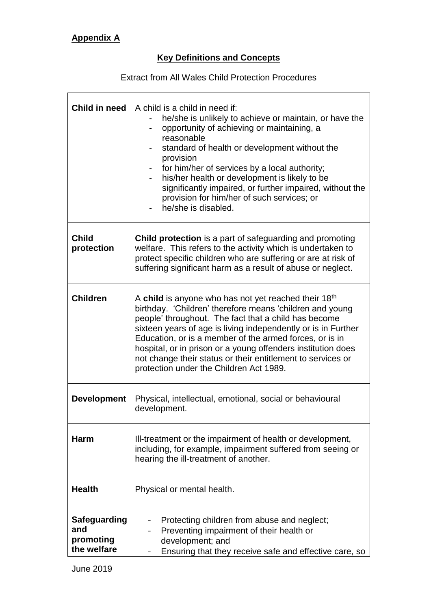# **Key Definitions and Concepts**

Extract from All Wales Child Protection Procedures

| Child in need                                   | A child is a child in need if:<br>he/she is unlikely to achieve or maintain, or have the<br>opportunity of achieving or maintaining, a<br>reasonable<br>standard of health or development without the<br>provision<br>for him/her of services by a local authority;<br>his/her health or development is likely to be<br>significantly impaired, or further impaired, without the<br>provision for him/her of such services; or<br>he/she is disabled.                            |  |
|-------------------------------------------------|----------------------------------------------------------------------------------------------------------------------------------------------------------------------------------------------------------------------------------------------------------------------------------------------------------------------------------------------------------------------------------------------------------------------------------------------------------------------------------|--|
| <b>Child</b><br>protection                      | Child protection is a part of safeguarding and promoting<br>welfare. This refers to the activity which is undertaken to<br>protect specific children who are suffering or are at risk of<br>suffering significant harm as a result of abuse or neglect.                                                                                                                                                                                                                          |  |
| <b>Children</b>                                 | A child is anyone who has not yet reached their $18th$<br>birthday. 'Children' therefore means 'children and young<br>people' throughout. The fact that a child has become<br>sixteen years of age is living independently or is in Further<br>Education, or is a member of the armed forces, or is in<br>hospital, or in prison or a young offenders institution does<br>not change their status or their entitlement to services or<br>protection under the Children Act 1989. |  |
| <b>Development</b>                              | Physical, intellectual, emotional, social or behavioural<br>development.                                                                                                                                                                                                                                                                                                                                                                                                         |  |
| Harm                                            | Ill-treatment or the impairment of health or development,<br>including, for example, impairment suffered from seeing or<br>hearing the ill-treatment of another.                                                                                                                                                                                                                                                                                                                 |  |
| <b>Health</b>                                   | Physical or mental health.                                                                                                                                                                                                                                                                                                                                                                                                                                                       |  |
| Safeguarding<br>and<br>promoting<br>the welfare | Protecting children from abuse and neglect;<br>Preventing impairment of their health or<br>development; and<br>Ensuring that they receive safe and effective care, so                                                                                                                                                                                                                                                                                                            |  |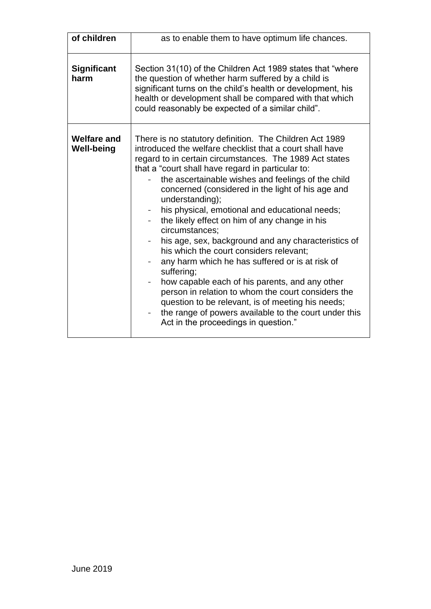| of children                             | as to enable them to have optimum life chances.                                                                                                                                                                                                                                                                                                                                                                                                                                                                                                                                                                                                                                                                                                                                                                                                                                                                         |
|-----------------------------------------|-------------------------------------------------------------------------------------------------------------------------------------------------------------------------------------------------------------------------------------------------------------------------------------------------------------------------------------------------------------------------------------------------------------------------------------------------------------------------------------------------------------------------------------------------------------------------------------------------------------------------------------------------------------------------------------------------------------------------------------------------------------------------------------------------------------------------------------------------------------------------------------------------------------------------|
| <b>Significant</b><br>harm              | Section 31(10) of the Children Act 1989 states that "where"<br>the question of whether harm suffered by a child is<br>significant turns on the child's health or development, his<br>health or development shall be compared with that which<br>could reasonably be expected of a similar child".                                                                                                                                                                                                                                                                                                                                                                                                                                                                                                                                                                                                                       |
| <b>Welfare and</b><br><b>Well-being</b> | There is no statutory definition. The Children Act 1989<br>introduced the welfare checklist that a court shall have<br>regard to in certain circumstances. The 1989 Act states<br>that a "court shall have regard in particular to:<br>the ascertainable wishes and feelings of the child<br>concerned (considered in the light of his age and<br>understanding);<br>his physical, emotional and educational needs;<br>the likely effect on him of any change in his<br>circumstances;<br>his age, sex, background and any characteristics of<br>his which the court considers relevant;<br>any harm which he has suffered or is at risk of<br>suffering;<br>how capable each of his parents, and any other<br>person in relation to whom the court considers the<br>question to be relevant, is of meeting his needs;<br>the range of powers available to the court under this<br>Act in the proceedings in question." |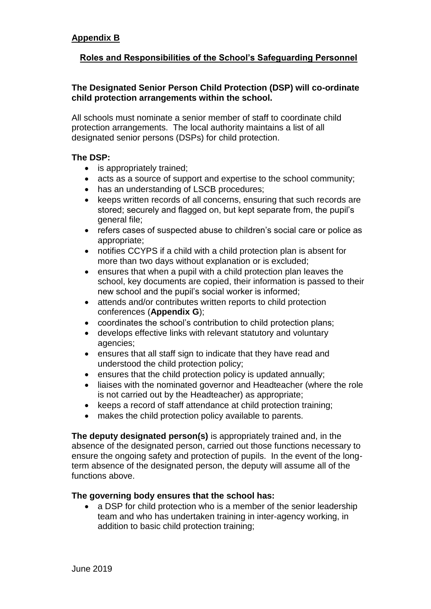#### **Roles and Responsibilities of the School's Safeguarding Personnel**

#### **The Designated Senior Person Child Protection (DSP) will co-ordinate child protection arrangements within the school.**

All schools must nominate a senior member of staff to coordinate child protection arrangements. The local authority maintains a list of all designated senior persons (DSPs) for child protection.

#### **The DSP:**

- is appropriately trained;
- acts as a source of support and expertise to the school community;
- has an understanding of LSCB procedures;
- keeps written records of all concerns, ensuring that such records are stored; securely and flagged on, but kept separate from, the pupil's general file;
- refers cases of suspected abuse to children's social care or police as appropriate;
- notifies CCYPS if a child with a child protection plan is absent for more than two days without explanation or is excluded;
- ensures that when a pupil with a child protection plan leaves the school, key documents are copied, their information is passed to their new school and the pupil's social worker is informed;
- attends and/or contributes written reports to child protection conferences (**Appendix G**);
- coordinates the school's contribution to child protection plans;
- develops effective links with relevant statutory and voluntary agencies;
- ensures that all staff sign to indicate that they have read and understood the child protection policy;
- ensures that the child protection policy is updated annually;
- liaises with the nominated governor and Headteacher (where the role is not carried out by the Headteacher) as appropriate;
- keeps a record of staff attendance at child protection training;
- makes the child protection policy available to parents.

**The deputy designated person(s)** is appropriately trained and, in the absence of the designated person, carried out those functions necessary to ensure the ongoing safety and protection of pupils. In the event of the longterm absence of the designated person, the deputy will assume all of the functions above.

#### **The governing body ensures that the school has:**

• a DSP for child protection who is a member of the senior leadership team and who has undertaken training in inter-agency working, in addition to basic child protection training;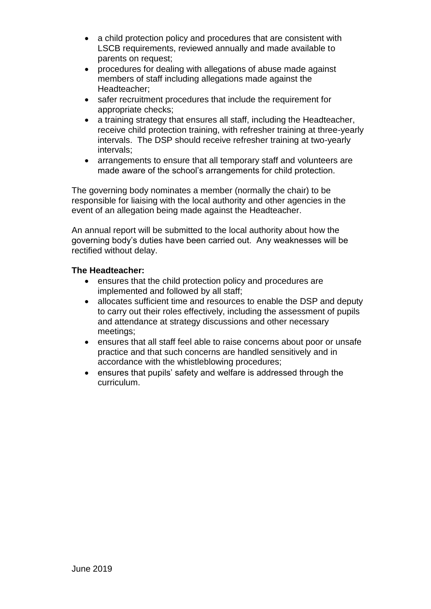- a child protection policy and procedures that are consistent with LSCB requirements, reviewed annually and made available to parents on request;
- procedures for dealing with allegations of abuse made against members of staff including allegations made against the Headteacher;
- safer recruitment procedures that include the requirement for appropriate checks;
- a training strategy that ensures all staff, including the Headteacher, receive child protection training, with refresher training at three-yearly intervals. The DSP should receive refresher training at two-yearly intervals;
- arrangements to ensure that all temporary staff and volunteers are made aware of the school's arrangements for child protection.

The governing body nominates a member (normally the chair) to be responsible for liaising with the local authority and other agencies in the event of an allegation being made against the Headteacher.

An annual report will be submitted to the local authority about how the governing body's duties have been carried out. Any weaknesses will be rectified without delay.

#### **The Headteacher:**

- ensures that the child protection policy and procedures are implemented and followed by all staff;
- allocates sufficient time and resources to enable the DSP and deputy to carry out their roles effectively, including the assessment of pupils and attendance at strategy discussions and other necessary meetings;
- ensures that all staff feel able to raise concerns about poor or unsafe practice and that such concerns are handled sensitively and in accordance with the whistleblowing procedures;
- ensures that pupils' safety and welfare is addressed through the curriculum.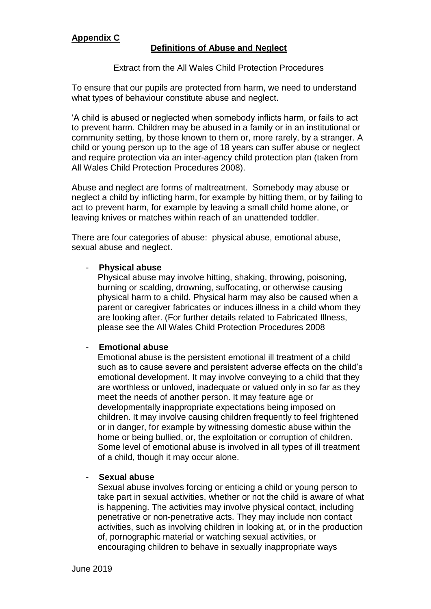#### **Definitions of Abuse and Neglect**

#### Extract from the All Wales Child Protection Procedures

To ensure that our pupils are protected from harm, we need to understand what types of behaviour constitute abuse and neglect.

'A child is abused or neglected when somebody inflicts harm, or fails to act to prevent harm. Children may be abused in a family or in an institutional or community setting, by those known to them or, more rarely, by a stranger. A child or young person up to the age of 18 years can suffer abuse or neglect and require protection via an inter-agency child protection plan (taken from All Wales Child Protection Procedures 2008).

Abuse and neglect are forms of maltreatment. Somebody may abuse or neglect a child by inflicting harm, for example by hitting them, or by failing to act to prevent harm, for example by leaving a small child home alone, or leaving knives or matches within reach of an unattended toddler.

There are four categories of abuse: physical abuse, emotional abuse, sexual abuse and neglect.

#### - **Physical abuse**

Physical abuse may involve hitting, shaking, throwing, poisoning, burning or scalding, drowning, suffocating, or otherwise causing physical harm to a child. Physical harm may also be caused when a parent or caregiver fabricates or induces illness in a child whom they are looking after. (For further details related to Fabricated Illness, please see the All Wales Child Protection Procedures 2008

#### - **Emotional abuse**

Emotional abuse is the persistent emotional ill treatment of a child such as to cause severe and persistent adverse effects on the child's emotional development. It may involve conveying to a child that they are worthless or unloved, inadequate or valued only in so far as they meet the needs of another person. It may feature age or developmentally inappropriate expectations being imposed on children. It may involve causing children frequently to feel frightened or in danger, for example by witnessing domestic abuse within the home or being bullied, or, the exploitation or corruption of children. Some level of emotional abuse is involved in all types of ill treatment of a child, though it may occur alone.

#### - **Sexual abuse**

Sexual abuse involves forcing or enticing a child or young person to take part in sexual activities, whether or not the child is aware of what is happening. The activities may involve physical contact, including penetrative or non-penetrative acts. They may include non contact activities, such as involving children in looking at, or in the production of, pornographic material or watching sexual activities, or encouraging children to behave in sexually inappropriate ways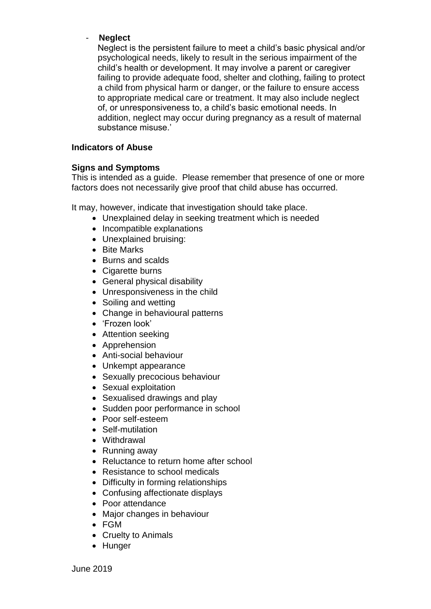#### - **Neglect**

Neglect is the persistent failure to meet a child's basic physical and/or psychological needs, likely to result in the serious impairment of the child's health or development. It may involve a parent or caregiver failing to provide adequate food, shelter and clothing, failing to protect a child from physical harm or danger, or the failure to ensure access to appropriate medical care or treatment. It may also include neglect of, or unresponsiveness to, a child's basic emotional needs. In addition, neglect may occur during pregnancy as a result of maternal substance misuse.'

#### **Indicators of Abuse**

#### **Signs and Symptoms**

This is intended as a guide. Please remember that presence of one or more factors does not necessarily give proof that child abuse has occurred.

It may, however, indicate that investigation should take place.

- Unexplained delay in seeking treatment which is needed
- Incompatible explanations
- Unexplained bruising:
- Bite Marks
- Burns and scalds
- Cigarette burns
- General physical disability
- Unresponsiveness in the child
- Soiling and wetting
- Change in behavioural patterns
- 'Frozen look'
- Attention seeking
- Apprehension
- Anti-social behaviour
- Unkempt appearance
- Sexually precocious behaviour
- Sexual exploitation
- Sexualised drawings and play
- Sudden poor performance in school
- Poor self-esteem
- Self-mutilation
- Withdrawal
- Running away
- Reluctance to return home after school
- Resistance to school medicals
- Difficulty in forming relationships
- Confusing affectionate displays
- Poor attendance
- Major changes in behaviour
- FGM
- Cruelty to Animals
- Hunger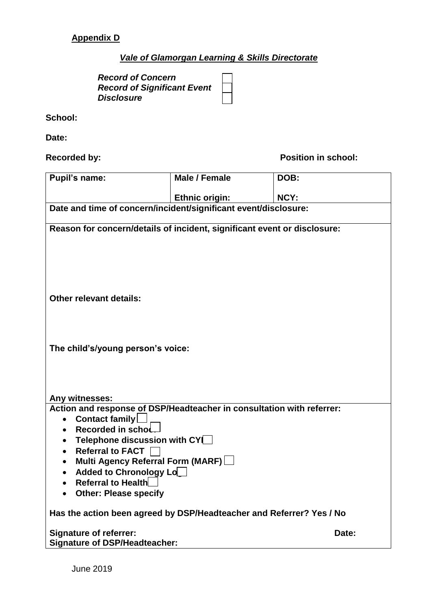# **Appendix D**

## *Vale of Glamorgan Learning & Skills Directorate*

*Record of Concern Record of Significant Event Disclosure*

#### **School:**

**Date:**

**Recorded by: Position in school:** 

| <b>Pupil's name:</b>                                                     | Male / Female         | DOB:  |
|--------------------------------------------------------------------------|-----------------------|-------|
|                                                                          | <b>Ethnic origin:</b> | NCY:  |
| Date and time of concern/incident/significant event/disclosure:          |                       |       |
| Reason for concern/details of incident, significant event or disclosure: |                       |       |
|                                                                          |                       |       |
|                                                                          |                       |       |
|                                                                          |                       |       |
|                                                                          |                       |       |
| <b>Other relevant details:</b>                                           |                       |       |
|                                                                          |                       |       |
|                                                                          |                       |       |
|                                                                          |                       |       |
| The child's/young person's voice:                                        |                       |       |
|                                                                          |                       |       |
|                                                                          |                       |       |
| Any witnesses:                                                           |                       |       |
| Action and response of DSP/Headteacher in consultation with referrer:    |                       |       |
| Contact family<br>$\bullet$                                              |                       |       |
| Recorded in schoL<br>Telephone discussion with CYL<br>$\bullet$          |                       |       |
| Referral to FACT  <br>$\bullet$                                          |                       |       |
| Multi Agency Referral Form (MARF)<br>٠                                   |                       |       |
| <b>Added to Chronology Lo</b><br>Referral to Health                      |                       |       |
| <b>Other: Please specify</b>                                             |                       |       |
|                                                                          |                       |       |
| Has the action been agreed by DSP/Headteacher and Referrer? Yes / No     |                       |       |
| <b>Signature of referrer:</b>                                            |                       | Date: |
| <b>Signature of DSP/Headteacher:</b>                                     |                       |       |

June 2019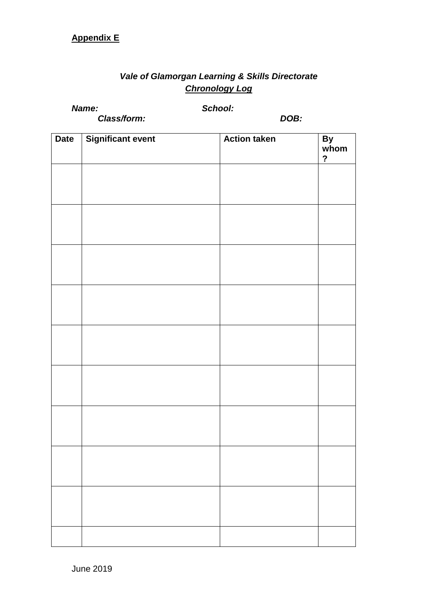# **Appendix E**

# *Vale of Glamorgan Learning & Skills Directorate Chronology Log*

*Name: School:*

*Class/form: DOB:*

| <b>Date</b> | <b>Significant event</b> | <b>Action taken</b> | By<br>whom              |
|-------------|--------------------------|---------------------|-------------------------|
|             |                          |                     | $\overline{\mathbf{?}}$ |
|             |                          |                     |                         |
|             |                          |                     |                         |
|             |                          |                     |                         |
|             |                          |                     |                         |
|             |                          |                     |                         |
|             |                          |                     |                         |
|             |                          |                     |                         |
|             |                          |                     |                         |
|             |                          |                     |                         |
|             |                          |                     |                         |
|             |                          |                     |                         |
|             |                          |                     |                         |
|             |                          |                     |                         |
|             |                          |                     |                         |
|             |                          |                     |                         |
|             |                          |                     |                         |
|             |                          |                     |                         |
|             |                          |                     |                         |
|             |                          |                     |                         |
|             |                          |                     |                         |
|             |                          |                     |                         |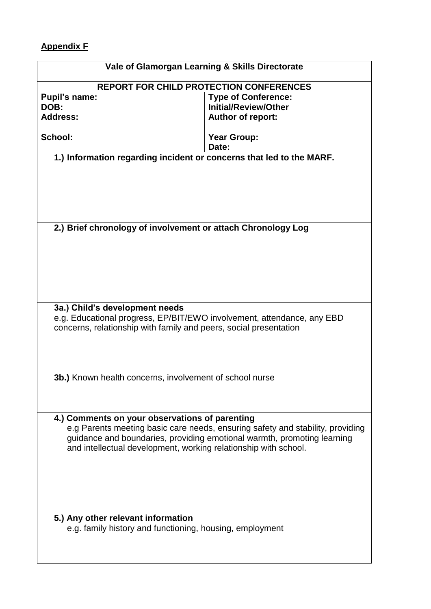# **Appendix F**

 $\overline{\phantom{a}}$ 

| Vale of Glamorgan Learning & Skills Directorate                                                          |                                                                                |  |  |  |
|----------------------------------------------------------------------------------------------------------|--------------------------------------------------------------------------------|--|--|--|
|                                                                                                          | <b>REPORT FOR CHILD PROTECTION CONFERENCES</b>                                 |  |  |  |
| <b>Pupil's name:</b>                                                                                     | <b>Type of Conference:</b>                                                     |  |  |  |
| <b>Initial/Review/Other</b><br>DOB:                                                                      |                                                                                |  |  |  |
| <b>Address:</b>                                                                                          | <b>Author of report:</b>                                                       |  |  |  |
|                                                                                                          |                                                                                |  |  |  |
| School:                                                                                                  | <b>Year Group:</b>                                                             |  |  |  |
|                                                                                                          | Date:                                                                          |  |  |  |
| 1.) Information regarding incident or concerns that led to the MARF.                                     |                                                                                |  |  |  |
|                                                                                                          |                                                                                |  |  |  |
|                                                                                                          |                                                                                |  |  |  |
|                                                                                                          |                                                                                |  |  |  |
|                                                                                                          |                                                                                |  |  |  |
| 2.) Brief chronology of involvement or attach Chronology Log                                             |                                                                                |  |  |  |
|                                                                                                          |                                                                                |  |  |  |
|                                                                                                          |                                                                                |  |  |  |
|                                                                                                          |                                                                                |  |  |  |
|                                                                                                          |                                                                                |  |  |  |
|                                                                                                          |                                                                                |  |  |  |
|                                                                                                          |                                                                                |  |  |  |
| 3a.) Child's development needs<br>e.g. Educational progress, EP/BIT/EWO involvement, attendance, any EBD |                                                                                |  |  |  |
| concerns, relationship with family and peers, social presentation                                        |                                                                                |  |  |  |
|                                                                                                          |                                                                                |  |  |  |
|                                                                                                          |                                                                                |  |  |  |
|                                                                                                          |                                                                                |  |  |  |
|                                                                                                          |                                                                                |  |  |  |
| <b>3b.)</b> Known health concerns, involvement of school nurse                                           |                                                                                |  |  |  |
|                                                                                                          |                                                                                |  |  |  |
|                                                                                                          |                                                                                |  |  |  |
|                                                                                                          |                                                                                |  |  |  |
| 4.) Comments on your observations of parenting                                                           |                                                                                |  |  |  |
|                                                                                                          | e.g Parents meeting basic care needs, ensuring safety and stability, providing |  |  |  |
|                                                                                                          | guidance and boundaries, providing emotional warmth, promoting learning        |  |  |  |
| and intellectual development, working relationship with school.                                          |                                                                                |  |  |  |
|                                                                                                          |                                                                                |  |  |  |
|                                                                                                          |                                                                                |  |  |  |
|                                                                                                          |                                                                                |  |  |  |
|                                                                                                          |                                                                                |  |  |  |
|                                                                                                          |                                                                                |  |  |  |
| 5.) Any other relevant information                                                                       |                                                                                |  |  |  |
| e.g. family history and functioning, housing, employment                                                 |                                                                                |  |  |  |
|                                                                                                          |                                                                                |  |  |  |
|                                                                                                          |                                                                                |  |  |  |
|                                                                                                          |                                                                                |  |  |  |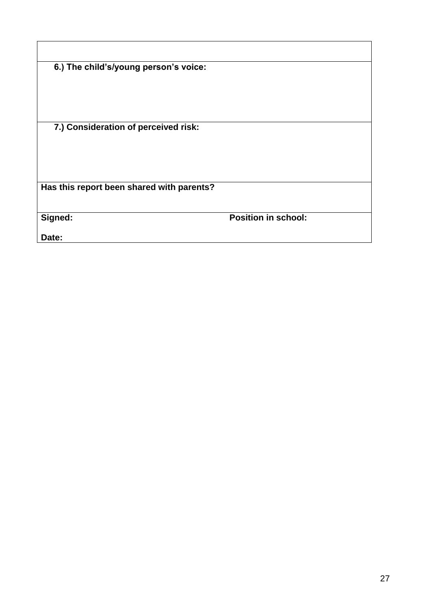| 6.) The child's/young person's voice:     |                            |
|-------------------------------------------|----------------------------|
|                                           |                            |
|                                           |                            |
|                                           |                            |
| 7.) Consideration of perceived risk:      |                            |
|                                           |                            |
|                                           |                            |
| Has this report been shared with parents? |                            |
|                                           |                            |
| Signed:                                   | <b>Position in school:</b> |
| Date:                                     |                            |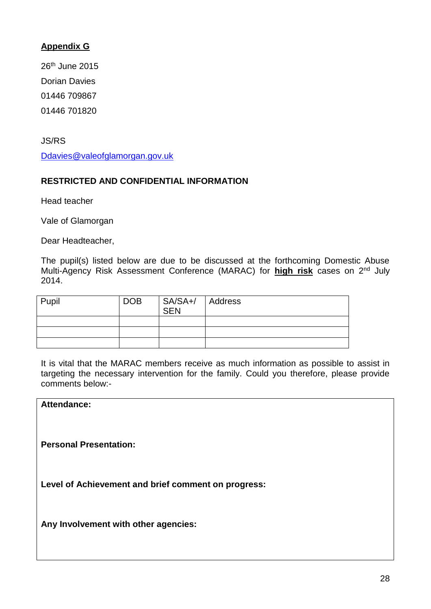### **Appendix G**

26th June 2015 Dorian Davies 01446 709867 01446 701820

JS/RS

[Ddavies@valeofglamorgan.gov.uk](mailto:Ddavies@valeofglamorgan.gov.uk)

#### **RESTRICTED AND CONFIDENTIAL INFORMATION**

Head teacher

Vale of Glamorgan

Dear Headteacher,

The pupil(s) listed below are due to be discussed at the forthcoming Domestic Abuse Multi-Agency Risk Assessment Conference (MARAC) for **high risk** cases on 2nd July 2014.

| Pupil | <b>DOB</b> | SA/SA+/ Address<br>SEN |  |
|-------|------------|------------------------|--|
|       |            |                        |  |
|       |            |                        |  |
|       |            |                        |  |

It is vital that the MARAC members receive as much information as possible to assist in targeting the necessary intervention for the family. Could you therefore, please provide comments below:-

**Attendance:**

**Personal Presentation:**

**Level of Achievement and brief comment on progress:** 

**Any Involvement with other agencies:**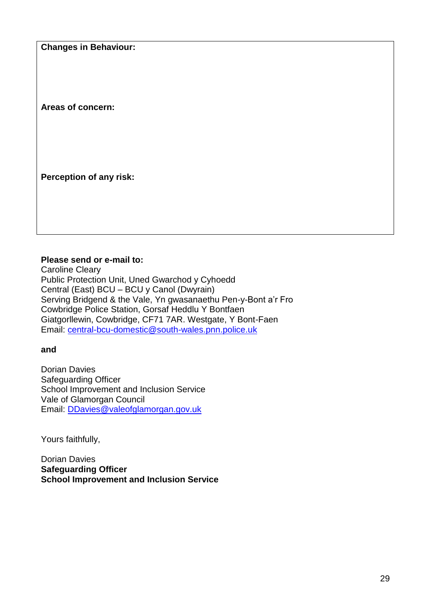**Changes in Behaviour:**

**Areas of concern:**

**Perception of any risk:**

#### **Please send or e-mail to:**

Caroline Cleary Public Protection Unit, Uned Gwarchod y Cyhoedd Central (East) BCU – BCU y Canol (Dwyrain) Serving Bridgend & the Vale, Yn gwasanaethu Pen-y-Bont a'r Fro Cowbridge Police Station, Gorsaf Heddlu Y Bontfaen Giatgorllewin, Cowbridge, CF71 7AR. Westgate, Y Bont-Faen Email: central-bcu-domestic@south-wales.pnn.police.uk

**and** 

Dorian Davies Safeguarding Officer School Improvement and Inclusion Service Vale of Glamorgan Council Email: [DDavies@valeofglamorgan.gov.uk](mailto:DDavies@valeofglamorgan.gov.uk)

Yours faithfully,

Dorian Davies **Safeguarding Officer School Improvement and Inclusion Service**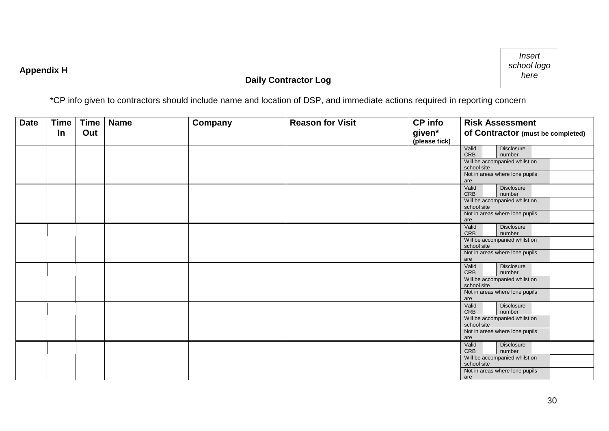# **Appendix H**

# **Daily Contractor Log**



\*CP info given to contractors should include name and location of DSP, and immediate actions required in reporting concern

| <b>Date</b> | <b>Time</b> | <b>Time</b> | <b>Name</b> | Company | <b>Reason for Visit</b> | <b>CP</b> info          | <b>Risk Assessment</b>                             |
|-------------|-------------|-------------|-------------|---------|-------------------------|-------------------------|----------------------------------------------------|
|             | In          | Out         |             |         |                         | given*<br>(please tick) | of Contractor (must be completed)                  |
|             |             |             |             |         |                         |                         | Valid<br>Disclosure<br>CRB<br>number               |
|             |             |             |             |         |                         |                         | Will be accompanied whilst on<br>school site       |
|             |             |             |             |         |                         |                         | Not in areas where lone pupils<br>are              |
|             |             |             |             |         |                         |                         | Valid<br>Disclosure<br>CRB<br>number               |
|             |             |             |             |         |                         |                         | Will be accompanied whilst on<br>school site       |
|             |             |             |             |         |                         |                         | Not in areas where lone pupils<br>are              |
|             |             |             |             |         |                         |                         | Valid<br><b>Disclosure</b><br><b>CRB</b><br>number |
|             |             |             |             |         |                         |                         | Will be accompanied whilst on<br>school site       |
|             |             |             |             |         |                         |                         | Not in areas where lone pupils<br>are              |
|             |             |             |             |         |                         |                         | Disclosure<br>Valid<br><b>CRB</b><br>number        |
|             |             |             |             |         |                         |                         | Will be accompanied whilst on<br>school site       |
|             |             |             |             |         |                         |                         | Not in areas where lone pupils<br>are              |
|             |             |             |             |         |                         |                         | Valid<br><b>Disclosure</b><br><b>CRB</b><br>number |
|             |             |             |             |         |                         |                         | Will be accompanied whilst on<br>school site       |
|             |             |             |             |         |                         |                         | Not in areas where lone pupils<br>are              |
|             |             |             |             |         |                         |                         | Valid<br>Disclosure<br><b>CRB</b><br>number        |
|             |             |             |             |         |                         |                         | Will be accompanied whilst on<br>school site       |
|             |             |             |             |         |                         |                         | Not in areas where lone pupils<br>are              |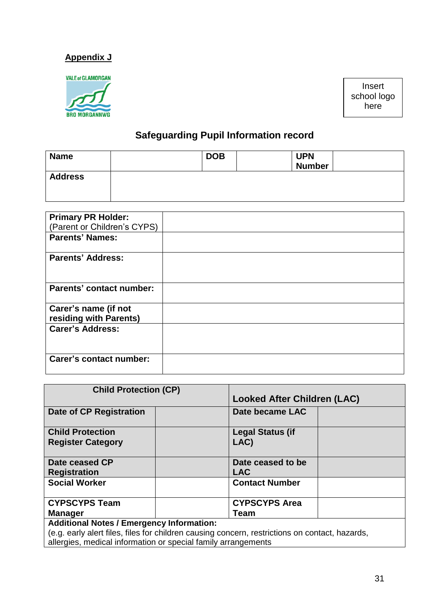## **Appendix J**

**BRO MORGANNWG** 

Insert school logo here

# **Safeguarding Pupil Information record**

| <b>Name</b>    | <b>DOB</b> | <b>UPN</b><br><b>Number</b> |
|----------------|------------|-----------------------------|
| <b>Address</b> |            |                             |

| <b>Primary PR Holder:</b>                      |  |
|------------------------------------------------|--|
| (Parent or Children's CYPS)                    |  |
| <b>Parents' Names:</b>                         |  |
| <b>Parents' Address:</b>                       |  |
| <b>Parents' contact number:</b>                |  |
| Carer's name (if not<br>residing with Parents) |  |
| <b>Carer's Address:</b>                        |  |
| <b>Carer's contact number:</b>                 |  |

| <b>Child Protection (CP)</b>                                                                   |                                    |
|------------------------------------------------------------------------------------------------|------------------------------------|
|                                                                                                | <b>Looked After Children (LAC)</b> |
| <b>Date of CP Registration</b>                                                                 | Date became LAC                    |
| <b>Child Protection</b>                                                                        | <b>Legal Status (if</b>            |
| <b>Register Category</b>                                                                       | LAC)                               |
|                                                                                                |                                    |
| Date ceased CP                                                                                 | Date ceased to be                  |
| <b>Registration</b>                                                                            | <b>LAC</b>                         |
| <b>Social Worker</b>                                                                           | <b>Contact Number</b>              |
|                                                                                                |                                    |
| <b>CYPSCYPS Team</b>                                                                           | <b>CYPSCYPS Area</b>               |
| <b>Manager</b>                                                                                 | <b>Team</b>                        |
| <b>Additional Notes / Emergency Information:</b>                                               |                                    |
| (e.g. early alert files, files for children causing concern, restrictions on contact, hazards, |                                    |
| allergies, medical information or special family arrangements                                  |                                    |